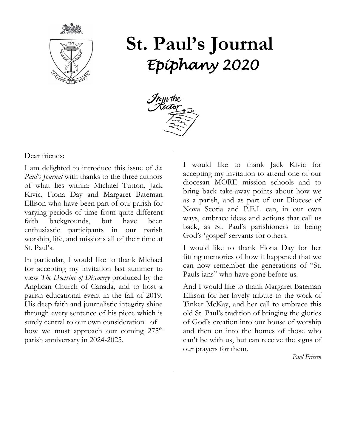

# **St. Paul's Journal** *Epiphany 2020*



Dear friends:

I am delighted to introduce this issue of *St. Paul's Journal* with thanks to the three authors of what lies within: Michael Tutton, Jack Kivic, Fiona Day and Margaret Bateman Ellison who have been part of our parish for varying periods of time from quite different faith backgrounds, but have been enthusiastic participants in our parish worship, life, and missions all of their time at St. Paul's.

In particular, I would like to thank Michael for accepting my invitation last summer to view *The Doctrine of Discovery* produced by the Anglican Church of Canada, and to host a parish educational event in the fall of 2019. His deep faith and journalistic integrity shine through every sentence of his piece which is surely central to our own consideration of how we must approach our coming 275<sup>th</sup> parish anniversary in 2024-2025.

I would like to thank Jack Kivic for accepting my invitation to attend one of our diocesan MORE mission schools and to bring back take-away points about how we as a parish, and as part of our Diocese of Nova Scotia and P.E.I. can, in our own ways, embrace ideas and actions that call us back, as St. Paul's parishioners to being God's 'gospel' servants for others.

I would like to thank Fiona Day for her fitting memories of how it happened that we can now remember the generations of "St. Pauls-ians" who have gone before us.

And I would like to thank Margaret Bateman Ellison for her lovely tribute to the work of Tinker McKay, and her call to embrace this old St. Paul's tradition of bringing the glories of God's creation into our house of worship and then on into the homes of those who can't be with us, but can receive the signs of our prayers for them.

*Paul Friesen*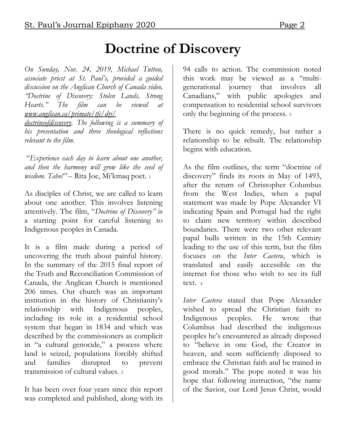## **Doctrine of Discovery**

*On Sunday, Nov. 24, 2019, Michael Tutton, associate priest at St. Paul's, provided a guided discussion on the Anglican Church of Canada video, "Doctrine of Discovery: Stolen Lands, Strong Hearts." The film can be viewed at [www.anglican.ca/primate/tfc/drj/](http://www.anglican.ca/primate/tfc/drj/)*

*doctrineofdiscovery. The following is a summary of his presentation and three theological reflections relevant to the film.*

"*Experience each day to learn about one another, and then the harmony will grow like the seed of wisdom. Taho!"* – Rita Joe, Mi'kmaq poet. <sup>1</sup>

As disciples of Christ, we are called to learn about one another. This involves listening attentively. The film, "*Doctrine of Discovery"* is a starting point for careful listening to Indigenous peoples in Canada.

It is a film made during a period of uncovering the truth about painful history. In the summary of the 2015 final report of the Truth and Reconciliation Commission of Canada, the Anglican Church is mentioned 206 times. Our church was an important institution in the history of Christianity's relationship with Indigenous peoples, including its role in a residential school system that began in 1834 and which was described by the commissioners as complicit in "a cultural genocide," a process where land is seized, populations forcibly shifted and families disrupted to prevent transmission of cultural values. <sup>2</sup>

It has been over four years since this report was completed and published, along with its 94 calls to action. The commission noted this work may be viewed as a "multigenerational journey that involves all Canadians," with public apologies and compensation to residential school survivors only the beginning of the process. <sup>3</sup>

There is no quick remedy, but rather a relationship to be rebuilt. The relationship begins with education.

As the film outlines, the term "doctrine of discovery" finds its roots in May of 1493, after the return of Christopher Columbus from the West Indies, when a papal statement was made by Pope Alexander VI indicating Spain and Portugal had the right to claim new territory within described boundaries. There were two other relevant papal bulls written in the 15th Century leading to the use of this term, but the film focuses on the *Inter Caetera*, which is translated and easily accessible on the internet for those who wish to see its full text. <sup>4</sup>

*Inter Caetera* stated that Pope Alexander wished to spread the Christian faith to Indigenous peoples. He wrote that Columbus had described the indigenous peoples he's encountered as already disposed to "believe in one God, the Creator in heaven, and seem sufficiently disposed to embrace the Christian faith and be trained in good morals." The pope noted it was his hope that following instruction, "the name of the Savior, our Lord Jesus Christ, would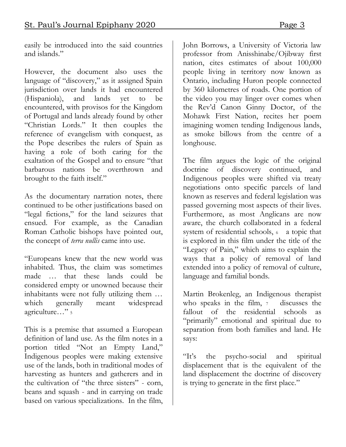easily be introduced into the said countries and islands."

However, the document also uses the language of "discovery," as it assigned Spain jurisdiction over lands it had encountered (Hispaniola), and lands yet to be encountered, with provisos for the Kingdom of Portugal and lands already found by other "Christian Lords." It then couples the reference of evangelism with conquest, as the Pope describes the rulers of Spain as having a role of both caring for the exaltation of the Gospel and to ensure "that barbarous nations be overthrown and brought to the faith itself."

As the documentary narration notes, there continued to be other justifications based on "legal fictions," for the land seizures that ensued. For example, as the Canadian Roman Catholic bishops have pointed out, the concept of *terra nullis* came into use.

"Europeans knew that the new world was inhabited. Thus, the claim was sometimes made … that these lands could be considered empty or unowned because their inhabitants were not fully utilizing them … which generally meant widespread agriculture…" <sup>5</sup>

This is a premise that assumed a European definition of land use. As the film notes in a portion titled "Not an Empty Land," Indigenous peoples were making extensive use of the lands, both in traditional modes of harvesting as hunters and gatherers and in the cultivation of "the three sisters" - corn, beans and squash - and in carrying on trade based on various specializations. In the film,

John Borrows, a University of Victoria law professor from Anisshinabe/Ojibway first nation, cites estimates of about 100,000 people living in territory now known as Ontario, including Huron people connected by 360 kilometres of roads. One portion of the video you may linger over comes when the Rev'd Canon Ginny Doctor, of the Mohawk First Nation, recites her poem imagining women tending Indigenous lands, as smoke billows from the centre of a longhouse.

The film argues the logic of the original doctrine of discovery continued, and Indigenous peoples were shifted via treaty negotiations onto specific parcels of land known as reserves and federal legislation was passed governing most aspects of their lives. Furthermore, as most Anglicans are now aware, the church collaborated in a federal system of residential schools,  $6$  a topic that is explored in this film under the title of the "Legacy of Pain," which aims to explain the ways that a policy of removal of land extended into a policy of removal of culture, language and familial bonds.

Martin Brokenleg, an Indigenous therapist who speaks in the film,  $\frac{1}{7}$  discusses the fallout of the residential schools as "primarily" emotional and spiritual due to separation from both families and land. He says:

"It's the psycho-social and spiritual displacement that is the equivalent of the land displacement the doctrine of discovery is trying to generate in the first place."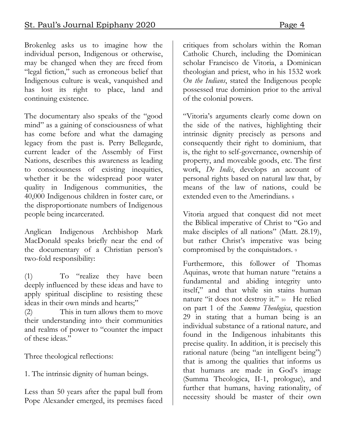Brokenleg asks us to imagine how the individual person, Indigenous or otherwise, may be changed when they are freed from "legal fiction," such as erroneous belief that Indigenous culture is weak, vanquished and has lost its right to place, land and continuing existence.

The documentary also speaks of the "good mind" as a gaining of consciousness of what has come before and what the damaging legacy from the past is. Perry Bellegarde, current leader of the Assembly of First Nations, describes this awareness as leading to consciousness of existing inequities, whether it be the widespread poor water quality in Indigenous communities, the 40,000 Indigenous children in foster care, or the disproportionate numbers of Indigenous people being incarcerated.

Anglican Indigenous Archbishop Mark MacDonald speaks briefly near the end of the documentary of a Christian person's two-fold responsibility:

(1) To "realize they have been deeply influenced by these ideas and have to apply spiritual discipline to resisting these ideas in their own minds and hearts;"

(2) This in turn allows them to move their understanding into their communities and realms of power to "counter the impact of these ideas."

Three theological reflections:

1. The intrinsic dignity of human beings.

Less than 50 years after the papal bull from Pope Alexander emerged, its premises faced

critiques from scholars within the Roman Catholic Church, including the Dominican scholar Francisco de Vitoria, a Dominican theologian and priest, who in his 1532 work *On the Indians*, stated the Indigenous people possessed true dominion prior to the arrival of the colonial powers.

"Vitoria's arguments clearly come down on the side of the natives, highlighting their intrinsic dignity precisely as persons and consequently their right to dominium, that is, the right to self-governance, ownership of property, and moveable goods, etc. The first work, *De Indis*, develops an account of personal rights based on natural law that, by means of the law of nations, could be extended even to the Amerindians. <sup>8</sup>

Vitoria argued that conquest did not meet the Biblical imperative of Christ to "Go and make disciples of all nations" (Matt. 28.19), but rather Christ's imperative was being compromised by the conquistadors. <sup>9</sup>

Furthermore, this follower of Thomas Aquinas, wrote that human nature "retains a fundamental and abiding integrity unto itself," and that while sin stains human nature "it does not destroy it." 10 He relied on part 1 of the *Summa Theologica*, question 29 in stating that a human being is an individual substance of a rational nature, and found in the Indigenous inhabitants this precise quality. In addition, it is precisely this rational nature (being "an intelligent being") that is among the qualities that informs us that humans are made in God's image (Summa Theologica, II-1, prologue), and further that humans, having rationality, of necessity should be master of their own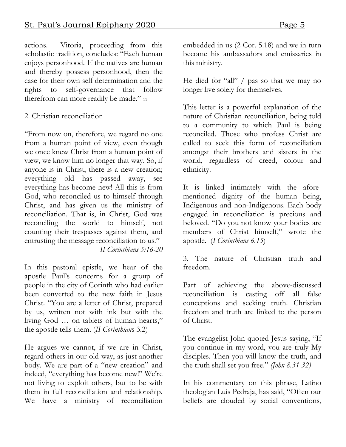actions. Vitoria, proceeding from this scholastic tradition, concludes: "Each human enjoys personhood. If the natives are human and thereby possess personhood, then the case for their own self determination and the rights to self-governance that follow therefrom can more readily be made." 11

### 2. Christian reconciliation

"From now on, therefore, we regard no one from a human point of view, even though we once knew Christ from a human point of view, we know him no longer that way. So, if anyone is in Christ, there is a new creation; everything old has passed away, see everything has become new! All this is from God, who reconciled us to himself through Christ, and has given us the ministry of reconciliation. That is, in Christ, God was reconciling the world to himself, not counting their trespasses against them, and entrusting the message reconciliation to us."  *II Corinthians 5:16-20*

In this pastoral epistle, we hear of the apostle Paul's concerns for a group of people in the city of Corinth who had earlier been converted to the new faith in Jesus Christ. "You are a letter of Christ, prepared by us, written not with ink but with the living God … on tablets of human hearts," the apostle tells them. (*II Corinthian*s 3.2)

He argues we cannot, if we are in Christ, regard others in our old way, as just another body. We are part of a "new creation" and indeed, "everything has become new!" We're not living to exploit others, but to be with them in full reconciliation and relationship. We have a ministry of reconciliation

embedded in us (2 Cor. 5.18) and we in turn become his ambassadors and emissaries in this ministry.

He died for "all" / pas so that we may no longer live solely for themselves.

This letter is a powerful explanation of the nature of Christian reconciliation, being told to a community to which Paul is being reconciled. Those who profess Christ are called to seek this form of reconciliation amongst their brothers and sisters in the world, regardless of creed, colour and ethnicity.

It is linked intimately with the aforementioned dignity of the human being, Indigenous and non-Indigenous. Each body engaged in reconciliation is precious and beloved. "Do you not know your bodies are members of Christ himself," wrote the apostle. (*I Corinthians 6.15*)

3. The nature of Christian truth and freedom.

Part of achieving the above-discussed reconciliation is casting off all false conceptions and seeking truth. Christian freedom and truth are linked to the person of Christ.

The evangelist John quoted Jesus saying, "If you continue in my word, you are truly My disciples. Then you will know the truth, and the truth shall set you free." *(John 8.31-32)*

In his commentary on this phrase, Latino theologian Luis Pedraja, has said, "Often our beliefs are clouded by social conventions,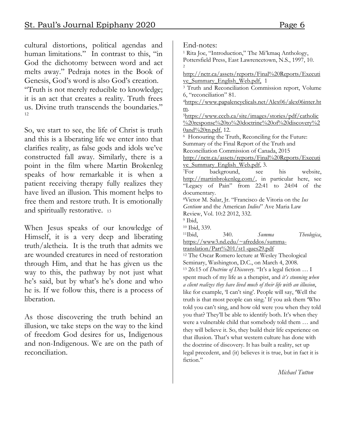cultural distortions, political agendas and human limitations." In contrast to this, "in God the dichotomy between word and act melts away." Pedraja notes in the Book of Genesis, God's word is also God's creation.

"Truth is not merely reducible to knowledge; it is an act that creates a reality. Truth frees us. Divine truth transcends the boundaries." 12

So, we start to see, the life of Christ is truth and this is a liberating life we enter into that clarifies reality, as false gods and idols we've constructed fall away. Similarly, there is a point in the film where Martin Brokenleg speaks of how remarkable it is when a patient receiving therapy fully realizes they have lived an illusion. This moment helps to free them and restore truth. It is emotionally and spiritually restorative. <sup>13</sup>

When Jesus speaks of our knowledge of Himself, it is a very deep and liberating truth/aletheia. It is the truth that admits we are wounded creatures in need of restoration through Him, and that he has given us the way to this, the pathway by not just what he's said, but by what's he's done and who he is. If we follow this, there is a process of liberation.

As those discovering the truth behind an illusion, we take steps on the way to the kind of freedom God desires for us, Indigenous and non-Indigenous. We are on the path of reconciliation.

End-notes:

<sup>1</sup> Rita Joe, "Introduction," The Mi'kmaq Anthology, Pottersfield Press, East Lawrencetown, N.S., 1997, 10. 2

[http://nctr.ca/assets/reports/Final%20Reports/Executi](http://nctr.ca/assets/reports/Final%20Reports/Executive_Summary_English_Web.pdf) ve Summary English Web.pdf, 1

<sup>3</sup> Truth and Reconciliation Commission report, Volume 6, "reconciliation" 81.

<sup>4</sup>[https://www.papalencyclicals.net/Alex06/alex06inter.ht](https://www.papalencyclicals.net/Alex06/alex06inter.htm) [m.](https://www.papalencyclicals.net/Alex06/alex06inter.htm)

<sup>5</sup>[https://www.cccb.ca/site/images/stories/pdf/catholic](https://www.cccb.ca/site/images/stories/pdf/catholic%20response%20to%20doctrine%20of%20discovery%20and%20tn.pdf) [%20response%20to%20doctrine%20of%20discovery%2](https://www.cccb.ca/site/images/stories/pdf/catholic%20response%20to%20doctrine%20of%20discovery%20and%20tn.pdf) [0and%20tn.pdf,](https://www.cccb.ca/site/images/stories/pdf/catholic%20response%20to%20doctrine%20of%20discovery%20and%20tn.pdf) 12. 6 Honouring the Truth, Reconciling for the Future:

Summary of the Final Report of the Truth and

Reconciliation Commission of Canada, 2015 [http://nctr.ca/assets/reports/Final%20Reports/Executi](http://nctr.ca/assets/reports/Final%20Reports/Executive_Summary_English_Web.pdf)

ve Summary English Web.pdf, 3. <sup>7</sup>For background, see his website, [http://martinbrokenleg.com/,](http://martinbrokenleg.com/) in particular here, see "Legacy of Pain" from 22:41 to 24:04 of the documentary.

<sup>8</sup>Victor M. Salar, Jr. "Francisco de Vitoria on the *Ius Gentium* and the American *Indios*" Ave Maria Law Review, Vol. 10:2 2012, 332.

<sup>9</sup> Ibid,

<sup>10</sup> Ibid, 339.

<sup>11</sup>Ibid, 340. *Summa Theologica*,

[https://www3.nd.edu/~afreddos/summa-](https://www3.nd.edu/~afreddos/summa-translation/Part%201/st1-ques29.pdf)

[translation/Part%201/st1-ques29.pdf](https://www3.nd.edu/~afreddos/summa-translation/Part%201/st1-ques29.pdf) <sup>12</sup> The Oscar Romero lecture at Wesley Theological Seminary, Washington, D.C., on March 4, 2008.

<sup>13</sup> 26:15 of *Doctrine of Discovery.* "It's a legal fiction … I spent much of my life as a therapist, and *it's stunning when a client realizes they have lived much of their life with an illusion*, like for example, 'I can't sing'. People will say, 'Well the truth is that most people can sing.' If you ask them 'Who told you can't sing, and how old were you when they told you that? They'll be able to identify both. It's when they were a vulnerable child that somebody told them … and they will believe it. So, they build their life experience on that illusion. That's what western culture has done with the doctrine of discovery. It has built a reality, set up legal precedent, and (it) believes it is true, but in fact it is fiction."

 *Michael Tutton*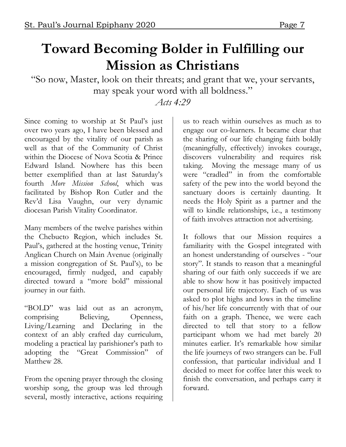# **Toward Becoming Bolder in Fulfilling our Mission as Christians**

"So now, Master, look on their threats; and grant that we, your servants, may speak your word with all boldness."

### *Acts 4:29*

Since coming to worship at St Paul's just over two years ago, I have been blessed and encouraged by the vitality of our parish as well as that of the Community of Christ within the Diocese of Nova Scotia & Prince Edward Island. Nowhere has this been better exemplified than at last Saturday's fourth *More Mission School*, which was facilitated by Bishop Ron Cutler and the Rev'd Lisa Vaughn, our very dynamic diocesan Parish Vitality Coordinator.

Many members of the twelve parishes within the Chebucto Region, which includes St. Paul's, gathered at the hosting venue, Trinity Anglican Church on Main Avenue (originally a mission congregation of St. Paul's), to be encouraged, firmly nudged, and capably directed toward a "more bold" missional journey in our faith.

"BOLD" was laid out as an acronym, comprising Believing, Openness, Living/Learning and Declaring in the context of an ably crafted day curriculum, modeling a practical lay parishioner's path to adopting the "Great Commission" of Matthew 28.

From the opening prayer through the closing worship song, the group was led through several, mostly interactive, actions requiring

us to reach within ourselves as much as to engage our co-learners. It became clear that the sharing of our life changing faith boldly (meaningfully, effectively) invokes courage, discovers vulnerability and requires risk taking. Moving the message many of us were "cradled" in from the comfortable safety of the pew into the world beyond the sanctuary doors is certainly daunting. It needs the Holy Spirit as a partner and the will to kindle relationships, i.e., a testimony of faith involves attraction not advertising.

It follows that our Mission requires a familiarity with the Gospel integrated with an honest understanding of ourselves - "our story". It stands to reason that a meaningful sharing of our faith only succeeds if we are able to show how it has positively impacted our personal life trajectory. Each of us was asked to plot highs and lows in the timeline of his/her life concurrently with that of our faith on a graph. Thence, we were each directed to tell that story to a fellow participant whom we had met barely 20 minutes earlier. It's remarkable how similar the life journeys of two strangers can be. Full confession, that particular individual and I decided to meet for coffee later this week to finish the conversation, and perhaps carry it forward.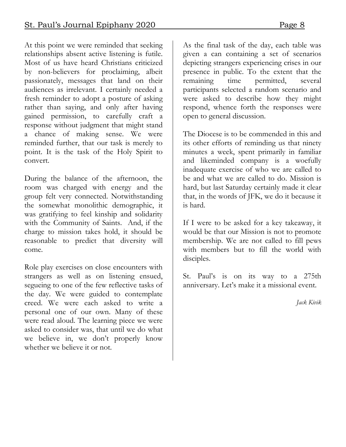At this point we were reminded that seeking relationships absent active listening is futile. Most of us have heard Christians criticized by non-believers for proclaiming, albeit passionately, messages that land on their audiences as irrelevant. I certainly needed a fresh reminder to adopt a posture of asking rather than saying, and only after having gained permission, to carefully craft a response without judgment that might stand a chance of making sense. We were reminded further, that our task is merely to point. It is the task of the Holy Spirit to convert.

During the balance of the afternoon, the room was charged with energy and the group felt very connected. Notwithstanding the somewhat monolithic demographic, it was gratifying to feel kinship and solidarity with the Community of Saints. And, if the charge to mission takes hold, it should be reasonable to predict that diversity will come.

Role play exercises on close encounters with strangers as well as on listening ensued, segueing to one of the few reflective tasks of the day. We were guided to contemplate creed. We were each asked to write a personal one of our own. Many of these were read aloud. The learning piece we were asked to consider was, that until we do what we believe in, we don't properly know whether we believe it or not.

As the final task of the day, each table was given a can containing a set of scenarios depicting strangers experiencing crises in our presence in public. To the extent that the remaining time permitted, several participants selected a random scenario and were asked to describe how they might respond, whence forth the responses were open to general discussion.

The Diocese is to be commended in this and its other efforts of reminding us that ninety minutes a week, spent primarily in familiar and likeminded company is a woefully inadequate exercise of who we are called to be and what we are called to do. Mission is hard, but last Saturday certainly made it clear that, in the words of JFK, we do it because it is hard.

If I were to be asked for a key takeaway, it would be that our Mission is not to promote membership. We are not called to fill pews with members but to fill the world with disciples.

St. Paul's is on its way to a 275th anniversary. Let's make it a missional event.

*Jack Kivik*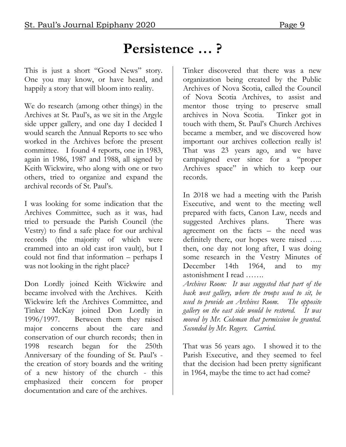### **Persistence … ?**

This is just a short "Good News" story. One you may know, or have heard, and happily a story that will bloom into reality.

We do research (among other things) in the Archives at St. Paul's, as we sit in the Argyle side upper gallery, and one day I decided I would search the Annual Reports to see who worked in the Archives before the present committee. I found 4 reports, one in 1983, again in 1986, 1987 and 1988, all signed by Keith Wickwire, who along with one or two others, tried to organize and expand the archival records of St. Paul's.

I was looking for some indication that the Archives Committee, such as it was, had tried to persuade the Parish Council (the Vestry) to find a safe place for our archival records (the majority of which were crammed into an old cast iron vault), but I could not find that information – perhaps I was not looking in the right place?

Don Lordly joined Keith Wickwire and became involved with the Archives. Keith Wickwire left the Archives Committee, and Tinker McKay joined Don Lordly in 1996/1997. Between them they raised major concerns about the care and conservation of our church records; then in 1998 research began for the 250th Anniversary of the founding of St. Paul's the creation of story boards and the writing of a new history of the church - this emphasized their concern for proper documentation and care of the archives.

Tinker discovered that there was a new organization being created by the Public Archives of Nova Scotia, called the Council of Nova Scotia Archives, to assist and mentor those trying to preserve small archives in Nova Scotia. Tinker got in touch with them, St. Paul's Church Archives became a member, and we discovered how important our archives collection really is! That was 23 years ago, and we have campaigned ever since for a "proper Archives space" in which to keep our records.

In 2018 we had a meeting with the Parish Executive, and went to the meeting well prepared with facts, Canon Law, needs and suggested Archives plans. There was agreement on the facts – the need was definitely there, our hopes were raised ….. then, one day not long after, I was doing some research in the Vestry Minutes of December 14th 1964, and to my astonishment I read …….

*Archives Room: It was suggested that part of the back west gallery, where the troops used to sit, be used to provide an Archives Room. The opposite gallery on the east side would be restored. It was moved by Mr. Coleman that permission be granted. Seconded by Mr. Rogers. Carried.*

That was 56 years ago. I showed it to the Parish Executive, and they seemed to feel that the decision had been pretty significant in 1964, maybe the time to act had come?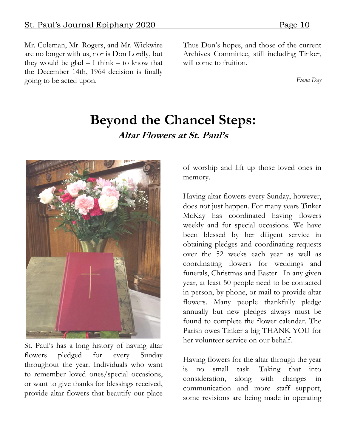Mr. Coleman, Mr. Rogers, and Mr. Wickwire are no longer with us, nor is Don Lordly, but they would be glad  $- I$  think  $-$  to know that the December 14th, 1964 decision is finally going to be acted upon.

Thus Don's hopes, and those of the current Archives Committee, still including Tinker, will come to fruition.

*Fiona Day*

### **Beyond the Chancel Steps: Altar Flowers at St. Paul's**



St. Paul's has a long history of having altar flowers pledged for every Sunday throughout the year. Individuals who want to remember loved ones/special occasions, or want to give thanks for blessings received, provide altar flowers that beautify our place

of worship and lift up those loved ones in memory.

Having altar flowers every Sunday, however, does not just happen. For many years Tinker McKay has coordinated having flowers weekly and for special occasions. We have been blessed by her diligent service in obtaining pledges and coordinating requests over the 52 weeks each year as well as coordinating flowers for weddings and funerals, Christmas and Easter. In any given year, at least 50 people need to be contacted in person, by phone, or mail to provide altar flowers. Many people thankfully pledge annually but new pledges always must be found to complete the flower calendar. The Parish owes Tinker a big THANK YOU for her volunteer service on our behalf.

Having flowers for the altar through the year is no small task. Taking that into consideration, along with changes in communication and more staff support, some revisions are being made in operating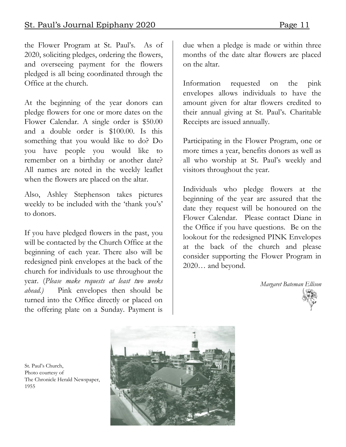the Flower Program at St. Paul's. As of 2020, soliciting pledges, ordering the flowers, and overseeing payment for the flowers pledged is all being coordinated through the Office at the church.

At the beginning of the year donors can pledge flowers for one or more dates on the Flower Calendar. A single order is \$50.00 and a double order is \$100.00. Is this something that you would like to do? Do you have people you would like to remember on a birthday or another date? All names are noted in the weekly leaflet when the flowers are placed on the altar.

Also, Ashley Stephenson takes pictures weekly to be included with the 'thank you's' to donors.

If you have pledged flowers in the past, you will be contacted by the Church Office at the beginning of each year. There also will be redesigned pink envelopes at the back of the church for individuals to use throughout the year. (*Please make requests at least two weeks ahead.)* Pink envelopes then should be turned into the Office directly or placed on the offering plate on a Sunday. Payment is

 St. Paul's Church, Photo courtesy of

1955

The Chronicle Herald Newspaper,

due when a pledge is made or within three months of the date altar flowers are placed on the altar.

Information requested on the pink envelopes allows individuals to have the amount given for altar flowers credited to their annual giving at St. Paul's. Charitable Receipts are issued annually.

Participating in the Flower Program, one or more times a year, benefits donors as well as all who worship at St. Paul's weekly and visitors throughout the year.

Individuals who pledge flowers at the beginning of the year are assured that the date they request will be honoured on the Flower Calendar. Please contact Diane in the Office if you have questions. Be on the lookout for the redesigned PINK Envelopes at the back of the church and please consider supporting the Flower Program in 2020… and beyond.

*Margaret Bateman Ellison*



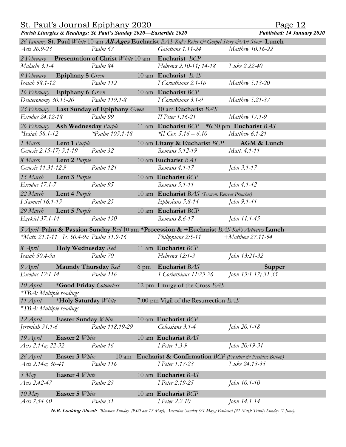| St. Paul's Journal Epiphany 2020                                                            |                             |  |                                                                                                    | Page 12                    |
|---------------------------------------------------------------------------------------------|-----------------------------|--|----------------------------------------------------------------------------------------------------|----------------------------|
| Parish Liturgies & Readings: St. Paul's Sunday 2020-Eastertide 2020                         |                             |  |                                                                                                    | Published: 14 January 2020 |
|                                                                                             |                             |  | 26 January St. Paul White 10 am All-Ages Eucharist BAS Kid's Roles & Gospel Story & Art Show Lunch |                            |
| Acts 26.9-23                                                                                | Psalm 67                    |  | Galatians 1.11-24                                                                                  | Matthew 10.16-22           |
| 2 February Presentation of Christ White 10 am                                               |                             |  | Eucharist BCP                                                                                      |                            |
| Malachi 3.1-4                                                                               | Psalm 84                    |  | Hebrews 2.10-11; 14-18                                                                             | Luke 2.22-40               |
| 9 February Epiphany 5 Green                                                                 |                             |  | 10 am Eucharist BAS                                                                                |                            |
| Isaiah 58.1-12                                                                              | Psalm 112                   |  | I Corinthians 2.1-16                                                                               | Matthew 5.13-20            |
| 16 February Epiphany 6 Green                                                                |                             |  | 10 am Eucharist BCP                                                                                |                            |
| Deuteronomy 30.15-20                                                                        | Psalm 119.1-8               |  | I Corinthians 3.1-9                                                                                | Matthew 5.21-37            |
| 23 February Last Sunday of Epiphany Green                                                   |                             |  | 10 am Eucharist BAS                                                                                |                            |
| Exodus 24.12-18                                                                             | Psalm 99                    |  | II Peter 1.16-21                                                                                   | Matthew 17.1-9             |
| 26 February Ash Wednesday Purple                                                            |                             |  | 11 am Eucharist $BCP$ *6:30 pm Eucharist $BAS$                                                     |                            |
| $*Isaiah 58.1-12$                                                                           | $*P_{\text{Salm}}$ 103.1-18 |  | $*$ II Cor. 5.16 – 6.10                                                                            | Matthew 6.1-21             |
| Lent 1 Purple<br>1 March                                                                    |                             |  | 10 am Litany & Eucharist BCP                                                                       | AGM & Lunch                |
| Genesis 2.15-17; 3.1-19                                                                     | Psalm 32                    |  | Romans 5,12-19                                                                                     | Matt. 4.1-11               |
| 8 March<br><b>Lent 2</b> Purple                                                             |                             |  | 10 am Eucharist BAS                                                                                |                            |
| Genesis 11.31-12.9                                                                          | Psalm 121                   |  | Romans 4.1-17                                                                                      | John 3.1-17                |
| 15 March<br><b>Lent 3</b> Purple                                                            |                             |  | 10 am Eucharist BCP                                                                                |                            |
| Exodus 17.1-7                                                                               | Psalm 95                    |  | Romans 5.1-11                                                                                      | John 4.1-42                |
| 22 March<br>Lent 4 Purple                                                                   |                             |  | 10 am Eucharist BAS (Sermon: Retreat Preacher)                                                     |                            |
| I Samuel 16.1-13                                                                            | Psalm 23                    |  | Ephesians 5.8-14                                                                                   | John 9.1-41                |
| 29 March<br>Lent 5 Purple                                                                   |                             |  | 10 am Eucharist BCP                                                                                |                            |
| Ezekiel 37.1-14                                                                             | Psalm 130                   |  | Romans 8.6-17                                                                                      | John 11.1-45               |
| 5 April Palm & Passion Sunday Red 10 am *Procession & +Eucharist BAS Kid's Activities Lunch |                             |  |                                                                                                    |                            |
| *Matt. 21.1-11 Is. 50.4-9a Psalm 31.9-16                                                    |                             |  | Philippians 2:5-11                                                                                 | $+Matthew 27.11-54$        |
| <b>Holy Wednesday</b> Red<br>8 April                                                        |                             |  | 11 am Eucharist BCP                                                                                |                            |
| Isaiah $50.4 - 9a$                                                                          | Psalm 70                    |  | Hebrews 12:1-3                                                                                     | John 13:21-32              |
| 9 April Maundy Thursday Red                                                                 |                             |  | 6 pm Eucharist BAS                                                                                 | <b>Supper</b>              |
| Exodus 12:1-14                                                                              | Psalm 116                   |  | 1 Corinthians 11:23-26                                                                             | John 13:1-17; 31-35        |
| *Good Friday Colourless<br>10 April                                                         |                             |  | 12 pm Liturgy of the Cross BAS                                                                     |                            |
| *TBA: Multiple readings                                                                     |                             |  |                                                                                                    |                            |
| 11 April<br>*Holy Saturday White                                                            |                             |  | 7.00 pm Vigil of the Resurrection BAS                                                              |                            |
| *TBA: Multiple readings                                                                     |                             |  |                                                                                                    |                            |
| 12 April<br><b>Easter Sunday</b> White                                                      |                             |  | 10 am Eucharist BCP                                                                                |                            |
| Jeremiah 31.1-6                                                                             | Psalm 118.19-29             |  | Colossians 3.1-4                                                                                   | John 20.1-18               |
| 19 April<br>Easter 2 White                                                                  |                             |  | 10 am Eucharist BAS                                                                                |                            |
| Acts 2.14a; 22-32                                                                           | Psalm 16                    |  | I Peter 1.3-9                                                                                      | John 20:19-31              |
|                                                                                             |                             |  |                                                                                                    |                            |
| Easter 3 White<br>26 April                                                                  | Psalm 116                   |  | 10 am Eucharist & Confirmation BCP (Preacher & Presider: Bishop)                                   | Luke 24.13-35              |
| Acts 2.14a; 36-41                                                                           |                             |  | I Peter 1.17-23                                                                                    |                            |
| $3$ May<br>Easter 4 White                                                                   |                             |  | 10 am Eucharist BAS                                                                                |                            |
| Acts 2.42-47                                                                                | Psalm 23                    |  | I Peter 2.19-25                                                                                    | John 10.1-10               |
| Easter 5 White<br>$10$ May                                                                  |                             |  | 10 am Eucharist BCP                                                                                |                            |
| Acts 7.54-60                                                                                | Psalm 31                    |  | I Peter 2.2-10                                                                                     | John 14.1-14               |

**N.B. Looking Ahead:** *'Bluenose Sunday' (9.00 am 17 May); Ascension Sunday (24 May); Pentecost (31 May): Trinity Sunday (7 June).*